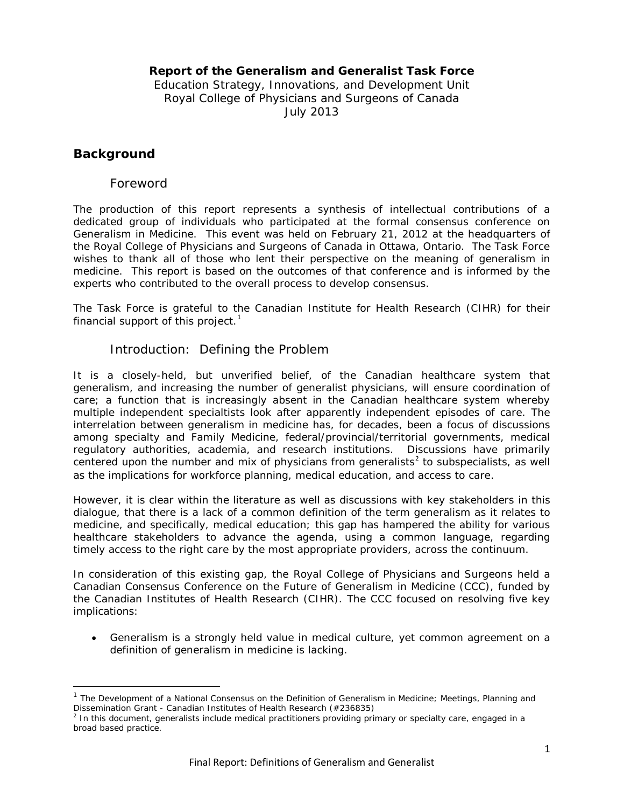### **Report of the Generalism and Generalist Task Force**

Education Strategy, Innovations, and Development Unit Royal College of Physicians and Surgeons of Canada July 2013

## **Background**

 $\overline{\phantom{a}}$ 

### Foreword

The production of this report represents a synthesis of intellectual contributions of a dedicated group of individuals who participated at the formal consensus conference on Generalism in Medicine. This event was held on February 21, 2012 at the headquarters of the Royal College of Physicians and Surgeons of Canada in Ottawa, Ontario. The Task Force wishes to thank all of those who lent their perspective on the meaning of generalism in medicine. This report is based on the outcomes of that conference and is informed by the experts who contributed to the overall process to develop consensus.

The Task Force is grateful to the Canadian Institute for Health Research (CIHR) for their financial support of this project. $1$ 

### Introduction: Defining the Problem

It is a closely-held, but unverified belief, of the Canadian healthcare system that generalism, and increasing the number of generalist physicians, will ensure coordination of care; a function that is increasingly absent in the Canadian healthcare system whereby multiple independent specialtists look after apparently independent episodes of care. The interrelation between generalism in medicine has, for decades, been a focus of discussions among specialty and Family Medicine, federal/provincial/territorial governments, medical regulatory authorities, academia, and research institutions. Discussions have primarily centered upon the number and mix of physicians from generalists<sup>[2](#page-0-1)</sup> to subspecialists, as well as the implications for workforce planning, medical education, and access to care.

However, it is clear within the literature as well as discussions with key stakeholders in this dialogue, that there is a lack of a common definition of the term generalism as it relates to medicine, and specifically, medical education; this gap has hampered the ability for various healthcare stakeholders to advance the agenda, using a common language, regarding timely access to the right care by the most appropriate providers, across the continuum.

In consideration of this existing gap, the Royal College of Physicians and Surgeons held a Canadian Consensus Conference on the Future of Generalism in Medicine (CCC), funded by the Canadian Institutes of Health Research (CIHR). The CCC focused on resolving five key implications:

• Generalism is a strongly held value in medical culture, yet common agreement on a definition of generalism in medicine is lacking.

<span id="page-0-0"></span><sup>&</sup>lt;sup>1</sup> The Development of a National Consensus on the Definition of Generalism in Medicine; Meetings, Planning and Dissemination Grant - Canadian Institutes of Health Research (#236835)

<span id="page-0-1"></span> $<sup>2</sup>$  In this document, generalists include medical practitioners providing primary or specialty care, engaged in a</sup> broad based practice.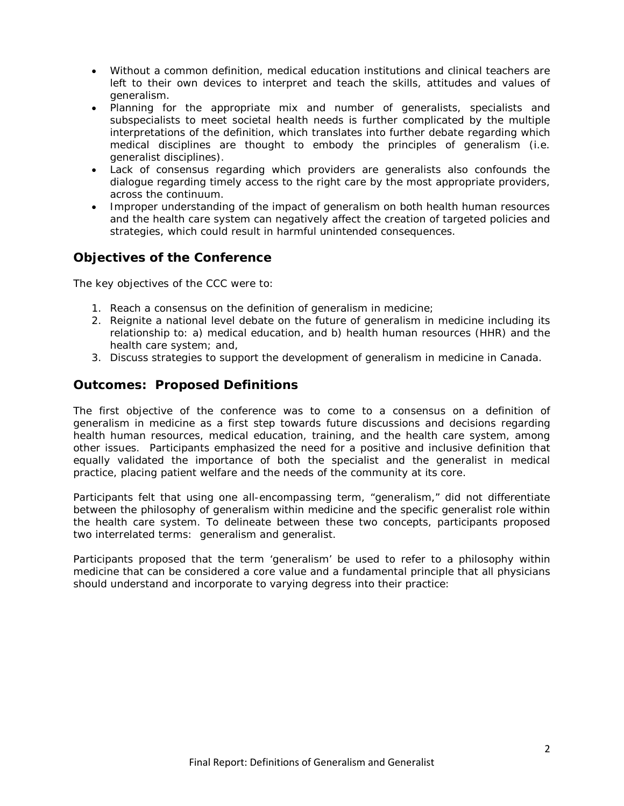- Without a common definition, medical education institutions and clinical teachers are left to their own devices to interpret and teach the skills, attitudes and values of generalism.
- Planning for the appropriate mix and number of generalists, specialists and subspecialists to meet societal health needs is further complicated by the multiple interpretations of the definition, which translates into further debate regarding which medical disciplines are thought to embody the principles of generalism (i.e. generalist disciplines).
- Lack of consensus regarding which providers are generalists also confounds the dialogue regarding timely access to the right care by the most appropriate providers, across the continuum.
- Improper understanding of the impact of generalism on both health human resources and the health care system can negatively affect the creation of targeted policies and strategies, which could result in harmful unintended consequences.

# **Objectives of the Conference**

The key objectives of the CCC were to:

- 1. Reach a consensus on the definition of generalism in medicine;
- 2. Reignite a national level debate on the future of generalism in medicine including its relationship to: a) medical education, and b) health human resources (HHR) and the health care system; and,
- 3. Discuss strategies to support the development of generalism in medicine in Canada.

## **Outcomes: Proposed Definitions**

The first objective of the conference was to come to a consensus on a definition of generalism in medicine as a first step towards future discussions and decisions regarding health human resources, medical education, training, and the health care system, among other issues. Participants emphasized the need for a positive and inclusive definition that equally validated the importance of both the specialist and the generalist in medical practice, placing patient welfare and the needs of the community at its core.

Participants felt that using one all-encompassing term, "generalism," did not differentiate between the philosophy of generalism within medicine and the specific generalist role within the health care system. To delineate between these two concepts, participants proposed two interrelated terms: generalism and generalist.

Participants proposed that the term 'generalism' be used to refer to a philosophy within medicine that can be considered a core value and a fundamental principle that all physicians should understand and incorporate to varying degress into their practice: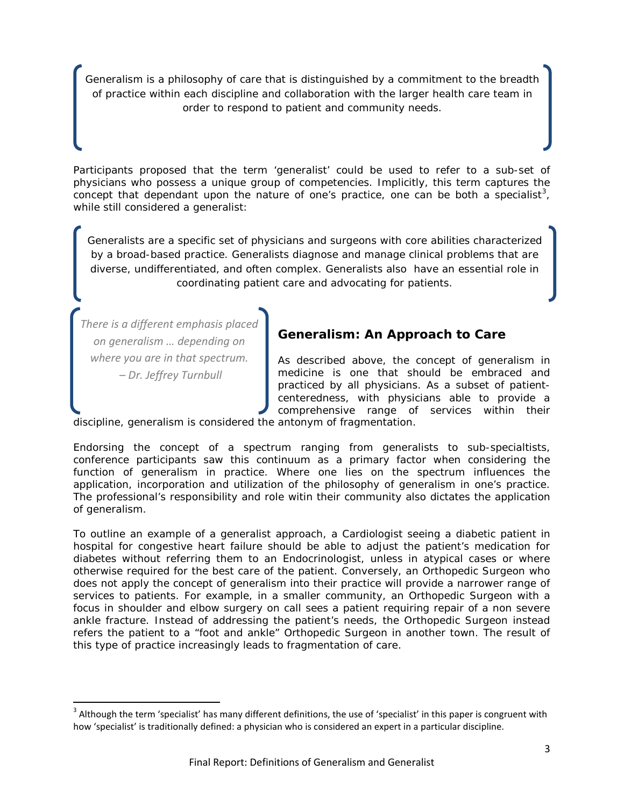*Generalism is a philosophy of care that is distinguished by a commitment to the breadth of practice within each discipline and collaboration with the larger health care team in order to respond to patient and community needs.*

Participants proposed that the term 'generalist' could be used to refer to a sub-set of physicians who possess a unique group of competencies. Implicitly, this term captures the concept that dependant upon the nature of one's practice, one can be both a specialist<sup>[3](#page-2-0)</sup>, while still considered a generalist:

*Generalists are a specific set of physicians and surgeons with core abilities characterized by a broad-based practice. Generalists diagnose and manage clinical problems that are diverse, undifferentiated, and often complex. Generalists also have an essential role in coordinating patient care and advocating for patients.*

*There is a different emphasis placed on generalism … depending on where you are in that spectrum. – Dr. Jeffrey Turnbull*

# **Generalism: An Approach to Care**

As described above, the concept of generalism in medicine is one that should be embraced and practiced by all physicians. As a subset of patientcenteredness, with physicians able to provide a comprehensive range of services within their

discipline, generalism is considered the antonym of fragmentation.

Endorsing the concept of a spectrum ranging from generalists to sub-specialtists, conference participants saw this continuum as a primary factor when considering the function of generalism in practice. Where one lies on the spectrum influences the application, incorporation and utilization of the philosophy of generalism in one's practice. The professional's responsibility and role witin their community also dictates the application of generalism.

To outline an example of a generalist approach, a Cardiologist seeing a diabetic patient in hospital for congestive heart failure should be able to adjust the patient's medication for diabetes without referring them to an Endocrinologist, unless in atypical cases or where otherwise required for the best care of the patient. Conversely, an Orthopedic Surgeon who *does not* apply the concept of generalism into their practice will provide a narrower range of services to patients. For example, in a smaller community, an Orthopedic Surgeon with a focus in shoulder and elbow surgery on call sees a patient requiring repair of a non severe ankle fracture. Instead of addressing the patient's needs, the Orthopedic Surgeon instead refers the patient to a "foot and ankle" Orthopedic Surgeon in another town. The result of this type of practice increasingly leads to fragmentation of care.

<span id="page-2-0"></span> $3$  Although the term 'specialist' has many different definitions, the use of 'specialist' in this paper is congruent with how 'specialist' is traditionally defined: a physician who is considered an expert in a particular discipline.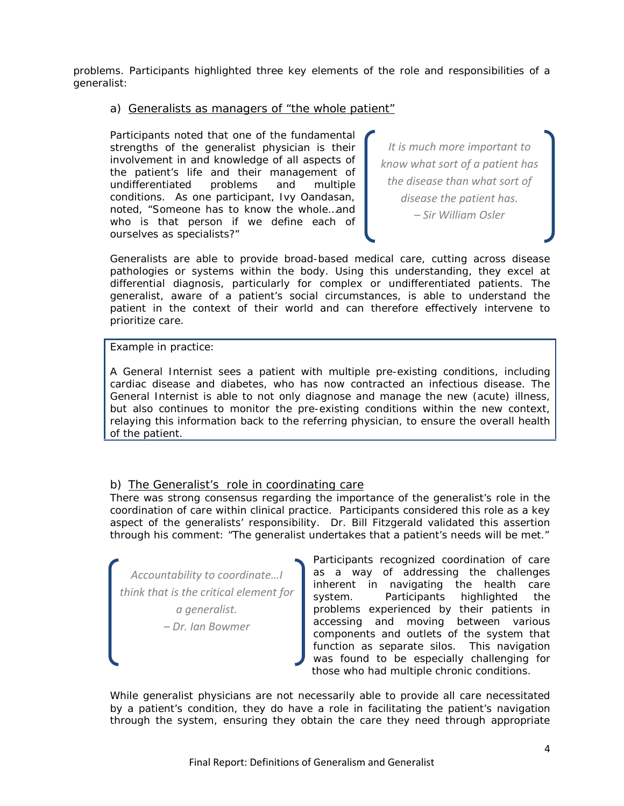problems. Participants highlighted three key elements of the role and responsibilities of a generalist:

### a) Generalists as managers of "the whole patient"

Participants noted that one of the fundamental strengths of the generalist physician is their involvement in and knowledge of all aspects of the patient's life and their management of undifferentiated problems and multiple conditions. As one participant, Ivy Oandasan, noted, "Someone has to know the whole…and who is that person if we define each of ourselves as specialists?"

*It is much more important to know what sort of a patient has the disease than what sort of disease the patient has. – Sir William Osler*

Generalists are able to provide broad-based medical care, cutting across disease pathologies or systems within the body. Using this understanding, they excel at differential diagnosis, particularly for complex or undifferentiated patients. The generalist, aware of a patient's social circumstances, is able to understand the patient in the context of their world and can therefore effectively intervene to prioritize care.

Example in practice:

A General Internist sees a patient with multiple pre-existing conditions, including cardiac disease and diabetes, who has now contracted an infectious disease. The General Internist is able to not only diagnose and manage the new (acute) illness, but also continues to monitor the pre-existing conditions within the new context, relaying this information back to the referring physician, to ensure the overall health of the patient.

### b) The Generalist's role in coordinating care

There was strong consensus regarding the importance of the generalist's role in the coordination of care within clinical practice. Participants considered this role as a key aspect of the generalists' responsibility. Dr. Bill Fitzgerald validated this assertion through his comment: "The generalist undertakes that a patient's needs will be met."

*Accountability to coordinate…I think that is the critical element for a generalist. – Dr. Ian Bowmer*

Participants recognized coordination of care as a way of addressing the challenges inherent in navigating the health care system. Participants highlighted the problems experienced by their patients in accessing and moving between various components and outlets of the system that function as separate silos. This navigation was found to be especially challenging for those who had multiple chronic conditions.

While generalist physicians are not necessarily able to provide all care necessitated by a patient's condition, they do have a role in facilitating the patient's navigation through the system, ensuring they obtain the care they need through appropriate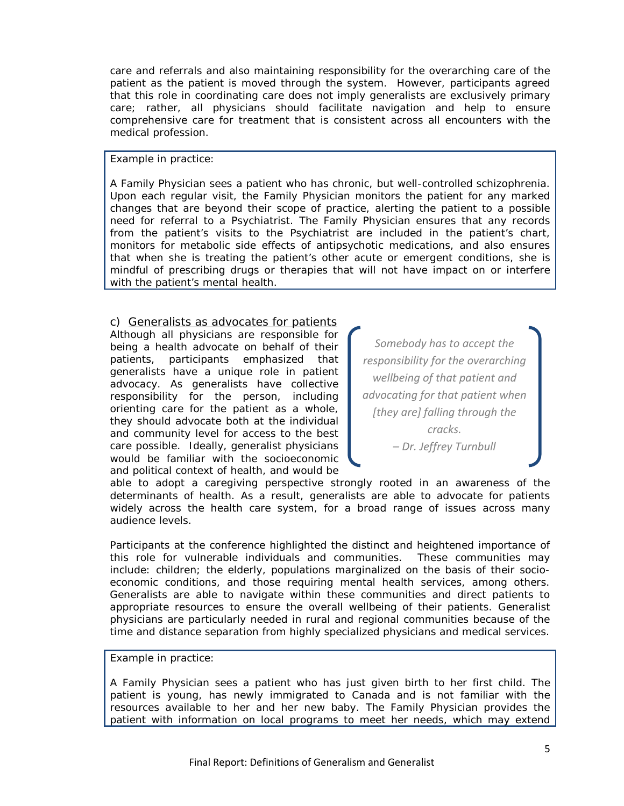care and referrals and also maintaining responsibility for the overarching care of the patient as the patient is moved through the system. However, participants agreed that this role in coordinating care does not imply generalists are exclusively primary care; rather, all physicians should facilitate navigation and help to ensure comprehensive care for treatment that is consistent across all encounters with the medical profession.

Example in practice:

A Family Physician sees a patient who has chronic, but well-controlled schizophrenia. Upon each regular visit, the Family Physician monitors the patient for any marked changes that are beyond their scope of practice, alerting the patient to a possible need for referral to a Psychiatrist. The Family Physician ensures that any records from the patient's visits to the Psychiatrist are included in the patient's chart, monitors for metabolic side effects of antipsychotic medications, and also ensures that when she is treating the patient's other acute or emergent conditions, she is mindful of prescribing drugs or therapies that will not have impact on or interfere with the patient's mental health.

c) Generalists as advocates for patients Although all physicians are responsible for being a health advocate on behalf of their patients, participants emphasized that generalists have a unique role in patient advocacy. As generalists have collective responsibility for the person, including orienting care for the patient as a whole, they should advocate both at the individual and community level for access to the best care possible. Ideally, generalist physicians would be familiar with the socioeconomic and political context of health, and would be

*Somebody has to accept the responsibility for the overarching wellbeing of that patient and advocating for that patient when [they are] falling through the cracks. – Dr. Jeffrey Turnbull*

able to adopt a caregiving perspective strongly rooted in an awareness of the determinants of health. As a result, generalists are able to advocate for patients widely across the health care system, for a broad range of issues across many audience levels.

Participants at the conference highlighted the distinct and heightened importance of this role for vulnerable individuals and communities. These communities may include: children; the elderly, populations marginalized on the basis of their socioeconomic conditions, and those requiring mental health services, among others. Generalists are able to navigate within these communities and direct patients to appropriate resources to ensure the overall wellbeing of their patients. Generalist physicians are particularly needed in rural and regional communities because of the time and distance separation from highly specialized physicians and medical services.

### Example in practice:

A Family Physician sees a patient who has just given birth to her first child. The patient is young, has newly immigrated to Canada and is not familiar with the resources available to her and her new baby. The Family Physician provides the patient with information on local programs to meet her needs, which may extend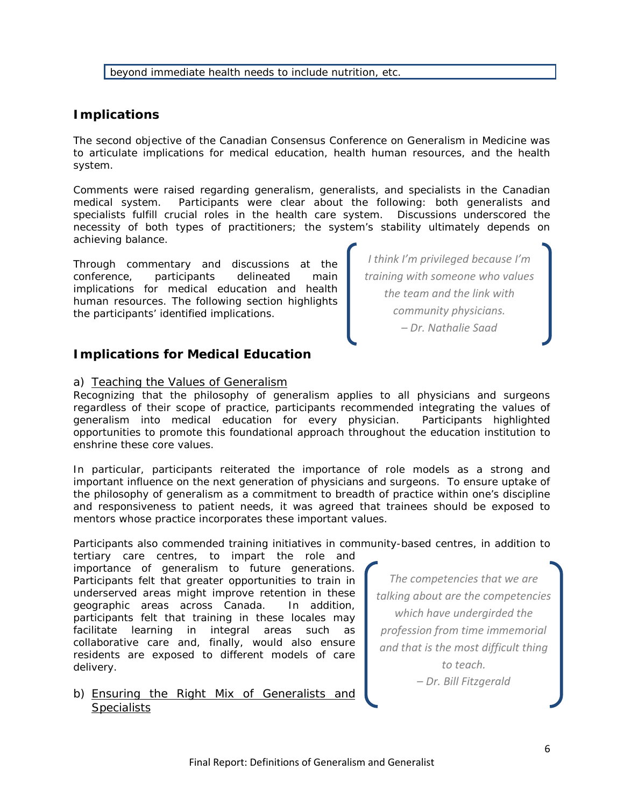beyond immediate health needs to include nutrition, etc.

## **Implications**

The second objective of the Canadian Consensus Conference on Generalism in Medicine was to articulate implications for medical education, health human resources, and the health system.

Comments were raised regarding generalism, generalists, and specialists in the Canadian medical system. Participants were clear about the following: both generalists and specialists fulfill crucial roles in the health care system. Discussions underscored the necessity of both types of practitioners; the system's stability ultimately depends on achieving balance.

Through commentary and discussions at the conference, participants delineated main implications for medical education and health human resources. The following section highlights the participants' identified implications.

## **Implications for Medical Education**

### a) Teaching the Values of Generalism

Recognizing that the philosophy of generalism applies to all physicians and surgeons regardless of their scope of practice, participants recommended integrating the values of generalism into medical education for every physician. Participants highlighted opportunities to promote this foundational approach throughout the education institution to enshrine these core values.

In particular, participants reiterated the importance of role models as a strong and important influence on the next generation of physicians and surgeons. To ensure uptake of the philosophy of generalism as a commitment to breadth of practice within one's discipline and responsiveness to patient needs, it was agreed that trainees should be exposed to mentors whose practice incorporates these important values.

Participants also commended training initiatives in community-based centres, in addition to

tertiary care centres, to impart the role and importance of generalism to future generations. Participants felt that greater opportunities to train in underserved areas might improve retention in these geographic areas across Canada. In addition, participants felt that training in these locales may facilitate learning in integral areas such as collaborative care and, finally, would also ensure residents are exposed to different models of care delivery.

b) Ensuring the Right Mix of Generalists and **Specialists** 

*The competencies that we are talking about are the competencies which have undergirded the profession from time immemorial and that is the most difficult thing to teach. – Dr. Bill Fitzgerald*

*I think I'm privileged because I'm training with someone who values the team and the link with community physicians. – Dr. Nathalie Saad*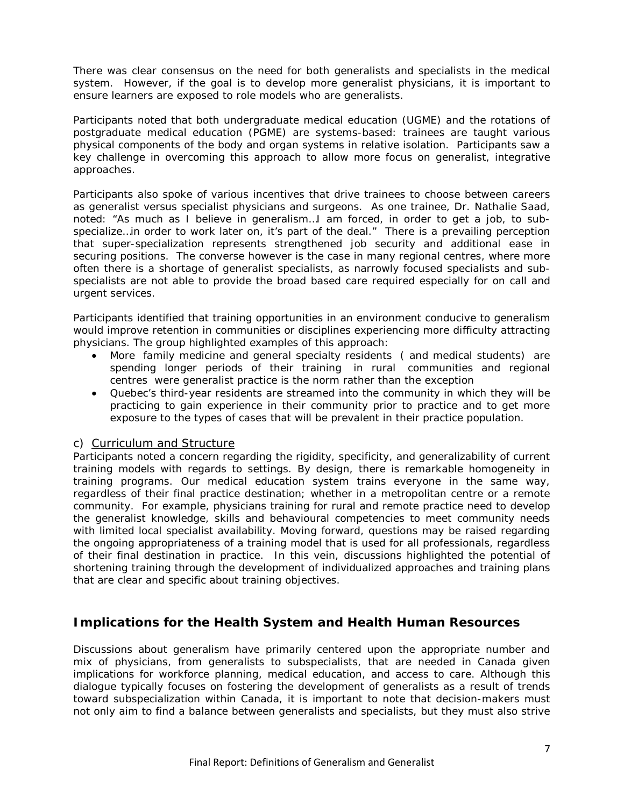There was clear consensus on the need for both generalists and specialists in the medical system. However, if the goal is to develop more generalist physicians, it is important to ensure learners are exposed to role models who are generalists.

Participants noted that both undergraduate medical education (UGME) and the rotations of postgraduate medical education (PGME) are systems-based: trainees are taught various physical components of the body and organ systems in relative isolation. Participants saw a key challenge in overcoming this approach to allow more focus on generalist, integrative approaches.

Participants also spoke of various incentives that drive trainees to choose between careers as generalist versus specialist physicians and surgeons. As one trainee, Dr. Nathalie Saad, noted: "As much as I believe in generalism…I am forced, in order to get a job, to subspecialize... in order to work later on, it's part of the deal." There is a prevailing perception that super-specialization represents strengthened job security and additional ease in securing positions. The converse however is the case in many regional centres, where more often there is a shortage of generalist specialists, as narrowly focused specialists and subspecialists are not able to provide the broad based care required especially for on call and urgent services.

Participants identified that training opportunities in an environment conducive to generalism would improve retention in communities or disciplines experiencing more difficulty attracting physicians. The group highlighted examples of this approach:

- More family medicine and general specialty residents ( and medical students) are spending longer periods of their training in rural communities and regional centres were generalist practice is the norm rather than the exception
- Quebec's third-year residents are streamed into the community in which they will be practicing to gain experience in their community prior to practice and to get more exposure to the types of cases that will be prevalent in their practice population.

### c) Curriculum and Structure

Participants noted a concern regarding the rigidity, specificity, and generalizability of current training models with regards to settings. By design, there is remarkable homogeneity in training programs. Our medical education system trains everyone in the same way, regardless of their final practice destination; whether in a metropolitan centre or a remote community. For example, physicians training for rural and remote practice need to develop the generalist knowledge, skills and behavioural competencies to meet community needs with limited local specialist availability. Moving forward, questions may be raised regarding the ongoing appropriateness of a training model that is used for all professionals, regardless of their final destination in practice. In this vein, discussions highlighted the potential of shortening training through the development of individualized approaches and training plans that are clear and specific about training objectives.

## **Implications for the Health System and Health Human Resources**

Discussions about generalism have primarily centered upon the appropriate number and mix of physicians, from generalists to subspecialists, that are needed in Canada given implications for workforce planning, medical education, and access to care. Although this dialogue typically focuses on fostering the development of generalists as a result of trends toward subspecialization within Canada, it is important to note that decision-makers must not only aim to find a balance between generalists and specialists, but they must also strive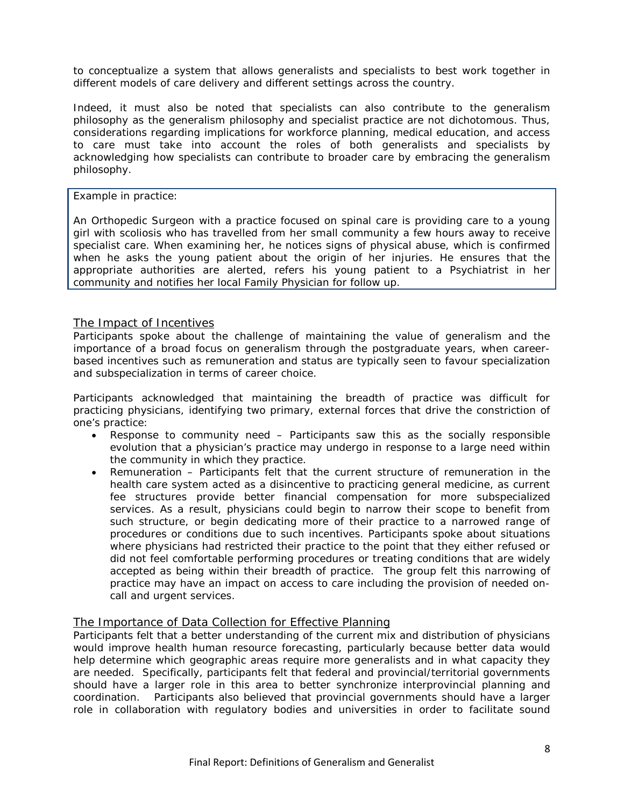to conceptualize a system that allows generalists and specialists to best work together in different models of care delivery and different settings across the country.

Indeed, it must also be noted that specialists can also contribute to the generalism philosophy as the generalism philosophy and specialist practice are not dichotomous. Thus, considerations regarding implications for workforce planning, medical education, and access to care must take into account the roles of both generalists and specialists by acknowledging how specialists can contribute to broader care by embracing the generalism philosophy.

Example in practice:

An Orthopedic Surgeon with a practice focused on spinal care is providing care to a young girl with scoliosis who has travelled from her small community a few hours away to receive specialist care. When examining her, he notices signs of physical abuse, which is confirmed when he asks the young patient about the origin of her injuries. He ensures that the appropriate authorities are alerted, refers his young patient to a Psychiatrist in her community and notifies her local Family Physician for follow up.

### The Impact of Incentives

Participants spoke about the challenge of maintaining the value of generalism and the importance of a broad focus on generalism through the postgraduate years, when careerbased incentives such as remuneration and status are typically seen to favour specialization and subspecialization in terms of career choice.

Participants acknowledged that maintaining the breadth of practice was difficult for practicing physicians, identifying two primary, external forces that drive the constriction of one's practice:

- Response to community need Participants saw this as the socially responsible evolution that a physician's practice may undergo in response to a large need within the community in which they practice.
- Remuneration Participants felt that the current structure of remuneration in the health care system acted as a disincentive to practicing general medicine, as current fee structures provide better financial compensation for more subspecialized services. As a result, physicians could begin to narrow their scope to benefit from such structure, or begin dedicating more of their practice to a narrowed range of procedures or conditions due to such incentives. Participants spoke about situations where physicians had restricted their practice to the point that they either refused or did not feel comfortable performing procedures or treating conditions that are widely accepted as being within their breadth of practice. The group felt this narrowing of practice may have an impact on access to care including the provision of needed oncall and urgent services.

### The Importance of Data Collection for Effective Planning

Participants felt that a better understanding of the current mix and distribution of physicians would improve health human resource forecasting, particularly because better data would help determine which geographic areas require more generalists and in what capacity they are needed. Specifically, participants felt that federal and provincial/territorial governments should have a larger role in this area to better synchronize interprovincial planning and coordination. Participants also believed that provincial governments should have a larger role in collaboration with regulatory bodies and universities in order to facilitate sound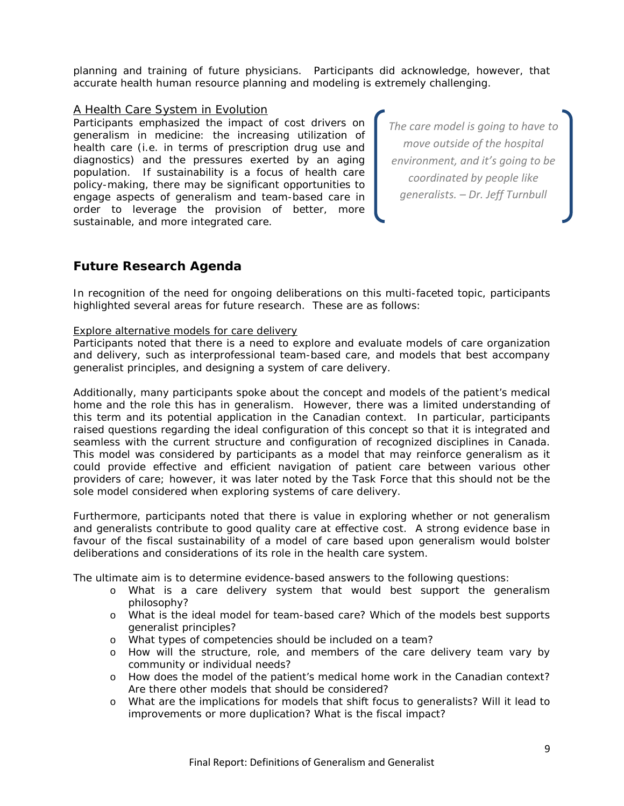planning and training of future physicians. Participants did acknowledge, however, that accurate health human resource planning and modeling is extremely challenging.

### A Health Care System in Evolution

Participants emphasized the impact of cost drivers on generalism in medicine: the increasing utilization of health care (i.e. in terms of prescription drug use and diagnostics) and the pressures exerted by an aging population. If sustainability is a focus of health care policy-making, there may be significant opportunities to engage aspects of generalism and team-based care in order to leverage the provision of better, more sustainable, and more integrated care.

*The care model is going to have to move outside of the hospital environment, and it's going to be coordinated by people like generalists. – Dr. Jeff Turnbull*

## **Future Research Agenda**

In recognition of the need for ongoing deliberations on this multi-faceted topic, participants highlighted several areas for future research. These are as follows:

### Explore alternative models for care delivery

Participants noted that there is a need to explore and evaluate models of care organization and delivery, such as interprofessional team-based care, and models that best accompany generalist principles, and designing a system of care delivery.

Additionally, many participants spoke about the concept and models of the patient's medical home and the role this has in generalism. However, there was a limited understanding of this term and its potential application in the Canadian context. In particular, participants raised questions regarding the ideal configuration of this concept so that it is integrated and seamless with the current structure and configuration of recognized disciplines in Canada. This model was considered by participants as a model that may reinforce generalism as it could provide effective and efficient navigation of patient care between various other providers of care; however, it was later noted by the Task Force that this should not be the sole model considered when exploring systems of care delivery.

Furthermore, participants noted that there is value in exploring whether or not generalism and generalists contribute to good quality care at effective cost. A strong evidence base in favour of the fiscal sustainability of a model of care based upon generalism would bolster deliberations and considerations of its role in the health care system.

The ultimate aim is to determine evidence-based answers to the following questions:

- o *What is a care delivery system that would best support the generalism philosophy?*
- o *What is the ideal model for team-based care? Which of the models best supports generalist principles?*
- o *What types of competencies should be included on a team?*
- o *How will the structure, role, and members of the care delivery team vary by community or individual needs?*
- o *How does the model of the patient's medical home work in the Canadian context? Are there other models that should be considered?*
- o *What are the implications for models that shift focus to generalists? Will it lead to improvements or more duplication? What is the fiscal impact?*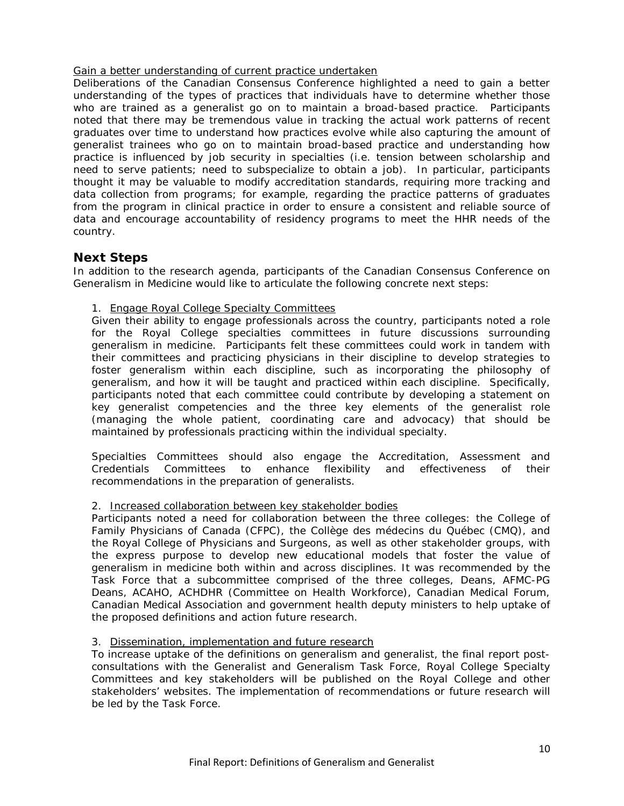### Gain a better understanding of current practice undertaken

Deliberations of the Canadian Consensus Conference highlighted a need to gain a better understanding of the types of practices that individuals have to determine whether those who are trained as a generalist go on to maintain a broad-based practice. Participants noted that there may be tremendous value in tracking the actual work patterns of recent graduates over time to understand how practices evolve while also capturing the amount of generalist trainees who go on to maintain broad-based practice and understanding how practice is influenced by job security in specialties (i.e. tension between scholarship and need to serve patients; need to subspecialize to obtain a job). In particular, participants thought it may be valuable to modify accreditation standards, requiring more tracking and data collection from programs; for example, regarding the practice patterns of graduates from the program in clinical practice in order to ensure a consistent and reliable source of data and encourage accountability of residency programs to meet the HHR needs of the country.

### **Next Steps**

In addition to the research agenda, participants of the Canadian Consensus Conference on Generalism in Medicine would like to articulate the following concrete next steps:

### 1. Engage Royal College Specialty Committees

Given their ability to engage professionals across the country, participants noted a role for the Royal College specialties committees in future discussions surrounding generalism in medicine. Participants felt these committees could work in tandem with their committees and practicing physicians in their discipline to develop strategies to foster generalism within each discipline, such as incorporating the philosophy of generalism, and how it will be taught and practiced within each discipline. Specifically, participants noted that each committee could contribute by developing a statement on key generalist competencies and the three key elements of the generalist role (managing the whole patient, coordinating care and advocacy) that should be maintained by professionals practicing within the individual specialty.

Specialties Committees should also engage the Accreditation, Assessment and<br>Credentials Committees to enhance flexibility and effectiveness of their enhance flexibility and effectiveness of their recommendations in the preparation of generalists.

### 2. Increased collaboration between key stakeholder bodies

Participants noted a need for collaboration between the three colleges: the College of Family Physicians of Canada (CFPC), the Collège des médecins du Québec (CMQ), and the Royal College of Physicians and Surgeons, as well as other stakeholder groups, with the express purpose to develop new educational models that foster the value of generalism in medicine both within and across disciplines. It was recommended by the Task Force that a subcommittee comprised of the three colleges, Deans, AFMC-PG Deans, ACAHO, ACHDHR (Committee on Health Workforce), Canadian Medical Forum, Canadian Medical Association and government health deputy ministers to help uptake of the proposed definitions and action future research.

### 3. Dissemination, implementation and future research

To increase uptake of the definitions on generalism and generalist, the final report postconsultations with the Generalist and Generalism Task Force, Royal College Specialty Committees and key stakeholders will be published on the Royal College and other stakeholders' websites. The implementation of recommendations or future research will be led by the Task Force.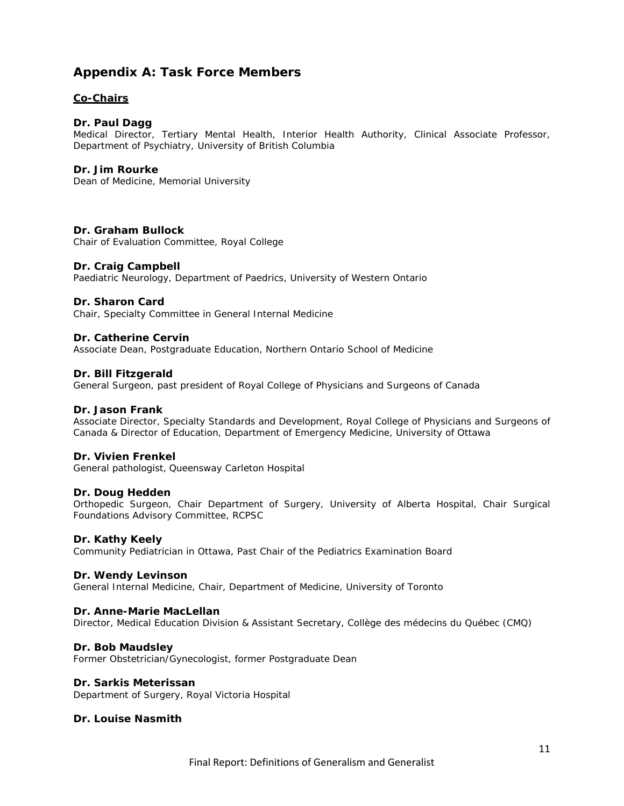## **Appendix A: Task Force Members**

### **Co-Chairs**

### **Dr. Paul Dagg**

Medical Director, Tertiary Mental Health, Interior Health Authority, Clinical Associate Professor, Department of Psychiatry, University of British Columbia

#### **Dr. Jim Rourke**

Dean of Medicine, Memorial University

#### **Dr. Graham Bullock**

Chair of Evaluation Committee, Royal College

#### **Dr. Craig Campbell**

Paediatric Neurology, Department of Paedrics, University of Western Ontario

#### **Dr. Sharon Card**

Chair, Specialty Committee in General Internal Medicine

#### **Dr. Catherine Cervin**

Associate Dean, Postgraduate Education, Northern Ontario School of Medicine

#### **Dr. Bill Fitzgerald**

General Surgeon, past president of Royal College of Physicians and Surgeons of Canada

#### **Dr. Jason Frank**

Associate Director, Specialty Standards and Development, Royal College of Physicians and Surgeons of Canada & Director of Education, Department of Emergency Medicine, University of Ottawa

#### **Dr. Vivien Frenkel**

General pathologist, Queensway Carleton Hospital

### **Dr. Doug Hedden**

Orthopedic Surgeon, Chair Department of Surgery, University of Alberta Hospital, Chair Surgical Foundations Advisory Committee, RCPSC

#### **Dr. Kathy Keely**

Community Pediatrician in Ottawa, Past Chair of the Pediatrics Examination Board

#### **Dr. Wendy Levinson**

General Internal Medicine, Chair, Department of Medicine, University of Toronto

#### **Dr. Anne-Marie MacLellan**

Director, Medical Education Division & Assistant Secretary, Collège des médecins du Québec (CMQ)

#### **Dr. Bob Maudsley**

Former Obstetrician/Gynecologist, former Postgraduate Dean

#### **Dr. Sarkis Meterissan**

Department of Surgery, Royal Victoria Hospital

#### **Dr. Louise Nasmith**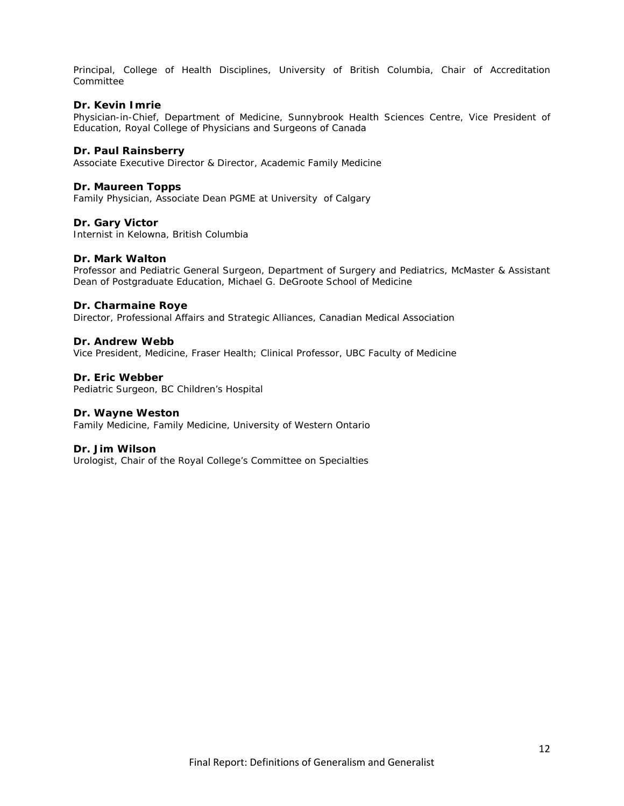Principal, College of Health Disciplines, University of British Columbia, Chair of Accreditation Committee

#### **Dr. Kevin Imrie**

Physician-in-Chief, Department of Medicine, Sunnybrook Health Sciences Centre, Vice President of Education, Royal College of Physicians and Surgeons of Canada

#### **Dr. Paul Rainsberry**

Associate Executive Director & Director, Academic Family Medicine

#### **Dr. Maureen Topps**

Family Physician, Associate Dean PGME at University of Calgary

### **Dr. Gary Victor**

Internist in Kelowna, British Columbia

#### **Dr. Mark Walton**

Professor and Pediatric General Surgeon, Department of Surgery and Pediatrics, McMaster & Assistant Dean of Postgraduate Education, Michael G. DeGroote School of Medicine

#### **Dr. Charmaine Roye**

Director, Professional Affairs and Strategic Alliances, Canadian Medical Association

#### **Dr. Andrew Webb**

Vice President, Medicine, Fraser Health; Clinical Professor, UBC Faculty of Medicine

### **Dr. Eric Webber**

Pediatric Surgeon, BC Children's Hospital

#### **Dr. Wayne Weston**

Family Medicine, Family Medicine, University of Western Ontario

#### **Dr. Jim Wilson**

Urologist, Chair of the Royal College's Committee on Specialties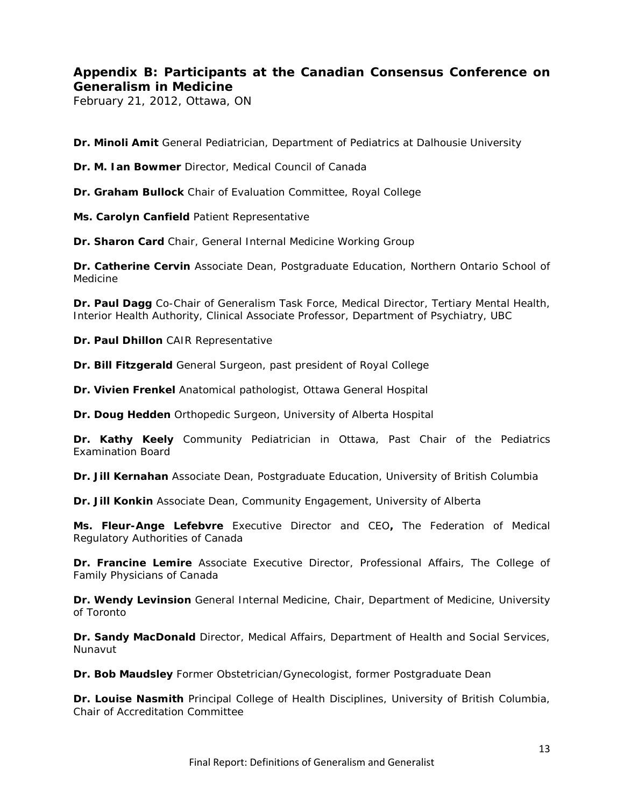# **Appendix B: Participants at the Canadian Consensus Conference on Generalism in Medicine**

February 21, 2012, Ottawa, ON

**Dr. Minoli Amit** General Pediatrician, Department of Pediatrics at Dalhousie University

**Dr. M. Ian Bowmer** Director, Medical Council of Canada

**Dr. Graham Bullock** Chair of Evaluation Committee, Royal College

**Ms. Carolyn Canfield** Patient Representative

**Dr. Sharon Card** Chair, General Internal Medicine Working Group

**Dr. Catherine Cervin** Associate Dean, Postgraduate Education, Northern Ontario School of Medicine

**Dr. Paul Dagg** Co-Chair of Generalism Task Force, Medical Director, Tertiary Mental Health, Interior Health Authority, Clinical Associate Professor, Department of Psychiatry, UBC

**Dr. Paul Dhillon** CAIR Representative

**Dr. Bill Fitzgerald** General Surgeon, past president of Royal College

**Dr. Vivien Frenkel** Anatomical pathologist, Ottawa General Hospital

**Dr. Doug Hedden** Orthopedic Surgeon, University of Alberta Hospital

**Dr. Kathy Keely** Community Pediatrician in Ottawa, Past Chair of the Pediatrics Examination Board

**Dr. Jill Kernahan** Associate Dean, Postgraduate Education, University of British Columbia

**Dr. Jill Konkin** Associate Dean, Community Engagement, University of Alberta

**Ms. Fleur-Ange Lefebvre** Executive Director and CEO**,** The Federation of Medical Regulatory Authorities of Canada

**Dr. Francine Lemire** Associate Executive Director, Professional Affairs, The College of Family Physicians of Canada

**Dr. Wendy Levinsion** General Internal Medicine, Chair, Department of Medicine, University of Toronto

**Dr. Sandy MacDonald** Director, Medical Affairs, Department of Health and Social Services, Nunavut

**Dr. Bob Maudsley** Former Obstetrician/Gynecologist, former Postgraduate Dean

**Dr. Louise Nasmith** Principal College of Health Disciplines, University of British Columbia, Chair of Accreditation Committee